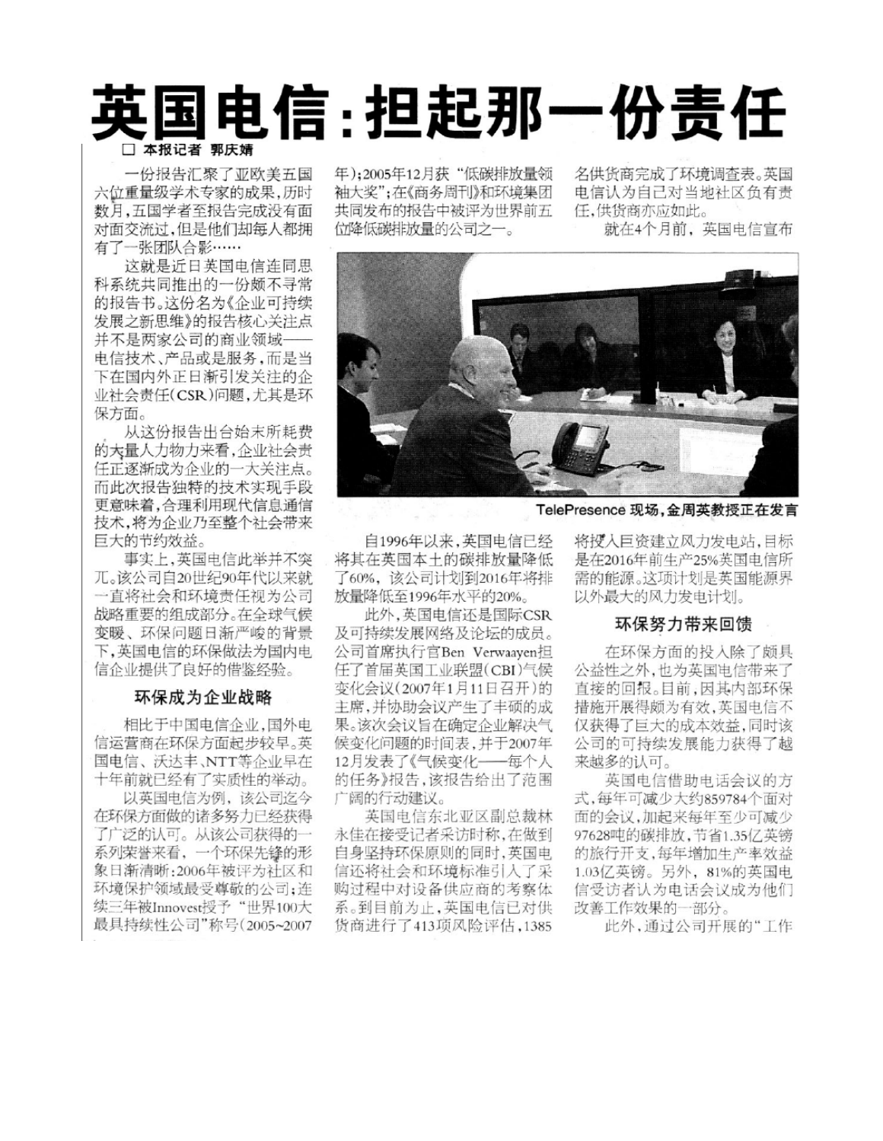# 国电信: 担起那一份责任 □ 本报记者 郭庆婧

一份报告汇聚了亚欧美五国 六位重量级学术专家的成果,历时 数月,五国学者至报告完成没有面 对面交流过,但是他们却每人都拥 有了一张团队合影……

这就是近日英国电信连同思 科系统共同推出的一份颇不寻常 的报告书。这份名为《企业可持续 发展之新思维》的报告核心关注点 并不是两家公司的商业领域-电信技术、产品或是服务,而是当 下在国内外正日渐引发关注的企 业社会责任(CSR)问题,尤其是环 保方面。

从这份报告出台始末所耗费 的大量人力物力来看,企业社会责 任正逐渐成为企业的一大关注点。 而此次报告独特的技术实现手段 更意味着,合理利用现代信息通信 技术,将为企业乃至整个社会带来 巨大的节约效益。

事实上,英国电信此举并不突 兀。该公司自20世纪90年代以来就 一直将社会和环境责任视为公司 战略重要的组成部分。在全球气候 变暖、环保问题日渐严峻的背景 下,英国电信的环保做法为国内电 信企业提供了良好的借鉴经验。

## 环保成为企业战略

相比于中国电信企业,国外电 信运营商在环保方面起步较早。英 国电信、沃达丰、NTT等企业早在 十年前就已经有了实质性的举动。

以英国电信为例,该公司迄今 在环保方面做的诸多努力已经获得 了广泛的认可。从该公司获得的一 系列荣誉来看, 一个环保先锋的形 象日渐清晰: 2006年被评为社区和 环境保护领域最受尊敬的公司;连 续三年被Innovest授予"世界100大 最具持续性公司"称号(2005~2007 年);2005年12月获"低碳排放量领 袖大奖":在《商务周刊》和环境集团 共同发布的报告中被评为世界前五 位降低碳排放量的公司之一。

名供货商完成了环境调查表。英国 电信认为自己对当地社区负有责 任,供货商亦应如此。

就在4个月前,英国电信宣布



TelePresence 现场, 金周英教授正在发言

自1996年以来,英国电信已经 将其在英国本十的碳排放量降低 了60%,该公司计划到2016年将排 放量降低至1996年水平的20%。

此外,英国电信还是国际CSR 及可持续发展网络及论坛的成员。 公司首席执行官Ben Verwaayen担 任了首届英国工业联盟(CBI)气候 变化会议(2007年1月11日召开)的 主席,并协助会议产生了丰硕的成 果。该次会议旨在确定企业解决气 候变化问题的时间表,并于2007年 12月发表了《气候变化——每个人 的任务》报告,该报告给出了范围 广阔的行动建议。

英国电信东北亚区副总裁林 永佳在接受记者采访时称,在做到 自身坚持环保原则的同时,英国电 信还将社会和环境标准引入了采 购过程中对设备供应商的考察体 系。到目前为止,英国电信已对供 货商进行了413项风险评估,1385 将授入巨资建立风力发电站,目标 是在2016年前生产25%英国电信所 需的能源。这项计划是英国能源界 以外最大的风力发电计划。

## 环保努力带来回馈

在环保方面的投入除了颇具 公益性之外,也为英国电信带来了 直接的回报。目前,因其内部环保 措施开展得颇为有效,英国电信不 仅获得了巨大的成本效益,同时该 公司的可持续发展能力获得了越 来越多的认可。

英国电信借助电话会议的方 式,每年可减少大约859784个面对 面的会议,加起来每年至少可减少 97628吨的碳排放,节省1.35亿英镑 的旅行开支,每年增加生产率效益 1.03亿英镑。另外, 81%的英国电 信受访者认为电话会议成为他们 改善工作效果的一部分。

此外,通过公司开展的"工作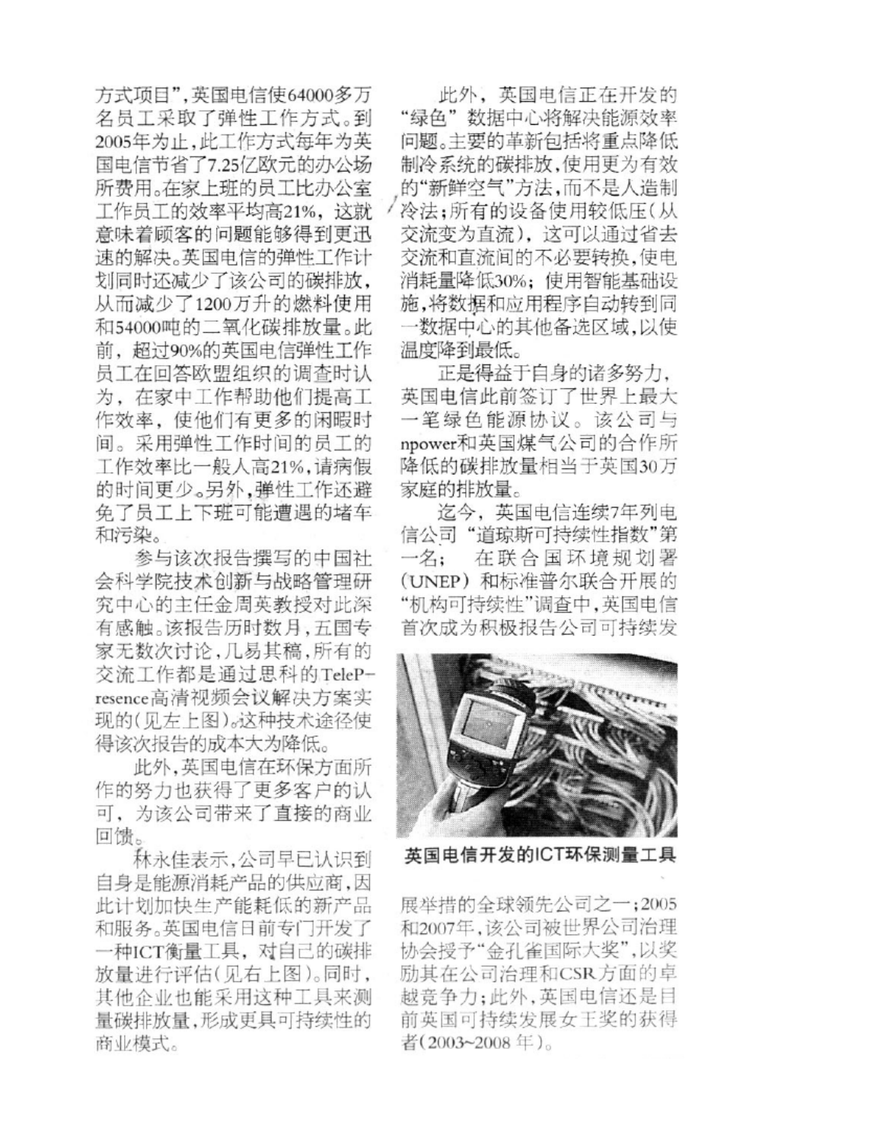方式项目",英国电信使64000多万 名员工采取了弹性工作方式。到 2005年为止,此工作方式每年为英 国电信节省了7.25亿欧元的办公场 所费用。在家上班的员工比办公室 工作员工的效率平均高21%, 这就 意味着顾客的问题能够得到更迅 速的解决。英国电信的弹性工作计 划同时还减少了该公司的碳排放, 从而减少了1200万升的燃料使用 和54000吨的二氧化碳排放量。此 前,超过90%的英国电信弹性工作 员工在回答欧盟组织的调查时认 为, 在家中工作帮助他们提高工 作效率, 使他们有更多的闲暇时 间。采用弹性工作时间的员工的 工作效率比一般人高21%,请病假 的时间更少。另外,弹性工作还避 免了员工上下班可能遭遇的堵车 和污染。

参与该次报告撰写的中国社 会科学院技术创新与战略管理研 究中心的主任金周英教授对此深 有感触。该报告历时数月,五国专 家无数次讨论,几易其稿,所有的 交流工作都是通过思科的TelePresence高清视频会议解决方案实 现的(见左上图)。这种技术途径使 得该次报告的成本大为降低。

此外,英国电信在环保方面所 作的努力也获得了更多客户的认 可,为该公司带来了直接的商业 回馈。

林永佳表示,公司早已认识到 自身是能源消耗产品的供应商,因 此计划加快生产能耗低的新产品 和服务。英国电信日前专门开发了 一种ICT衡量工具, 对自己的碳排 放量进行评估(见右上图)。同时, 其他企业也能采用这种工具来测 量碳排放量,形成更具可持续性的 商业模式。

此外, 英国电信正在开发的 "绿色"数据中心将解决能源效率 问题。主要的革新包括将重点降低 制冷系统的碳排放,使用更为有效 的"新鲜空气"方法,而不是人造制 冷法;所有的设备使用较低压(从 交流变为直流), 这可以通过省去 交流和直流间的不必要转换,使电 消耗量降低30%; 使用智能基础设 施,将数据和应用程序自动转到同 一数据中心的其他备选区域,以使 温度降到最低。

正是得益于自身的诸多努力, 英国电信此前签订了世界上最大 一笔绿色能源协议。该公司与 npower和英国煤气公司的合作所 降低的碳排放量相当于英国30万 家庭的排放量。

迄今,英国电信连续7年列电 信公司"道琼斯可持续性指数"第 在联合国环境规划署  $-\frac{\cancel{2}}{1}$ (UNEP) 和标准普尔联合开展的 "机构可持续性"调查中,英国电信 首次成为积极报告公司可持续发



英国电信开发的ICT环保测量工具

展举措的全球领先公司之一;2005 和2007年,该公司被世界公司治理 协会授予"金孔雀国际大奖",以奖 励其在公司治理和CSR方面的卓 越竞争力;此外,英国电信还是目 前英国可持续发展女王奖的获得 者(2003~2008年)。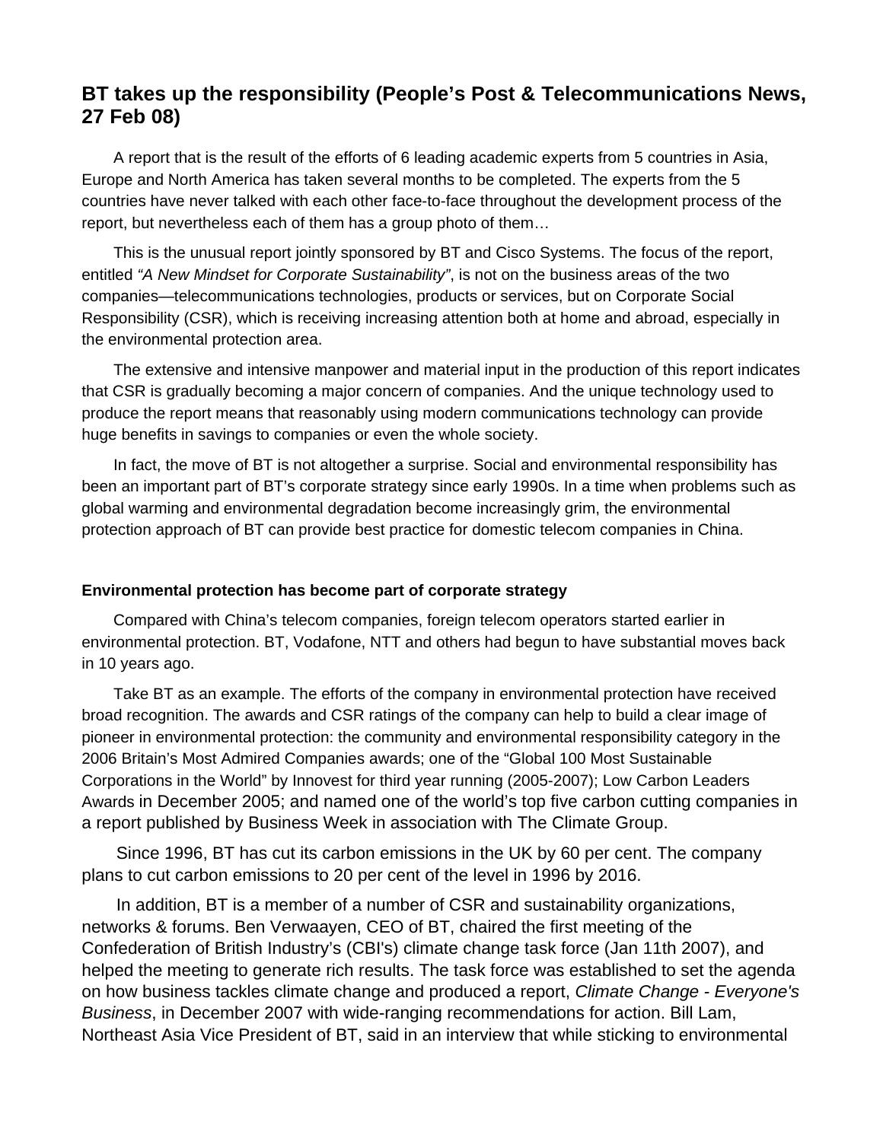# **BT takes up the responsibility (People's Post & Telecommunications News, 27 Feb 08)**

A report that is the result of the efforts of 6 leading academic experts from 5 countries in Asia, Europe and North America has taken several months to be completed. The experts from the 5 countries have never talked with each other face-to-face throughout the development process of the report, but nevertheless each of them has a group photo of them…

This is the unusual report jointly sponsored by BT and Cisco Systems. The focus of the report, entitled *"A New Mindset for Corporate Sustainability"*, is not on the business areas of the two companies—telecommunications technologies, products or services, but on Corporate Social Responsibility (CSR), which is receiving increasing attention both at home and abroad, especially in the environmental protection area.

The extensive and intensive manpower and material input in the production of this report indicates that CSR is gradually becoming a major concern of companies. And the unique technology used to produce the report means that reasonably using modern communications technology can provide huge benefits in savings to companies or even the whole society.

In fact, the move of BT is not altogether a surprise. Social and environmental responsibility has been an important part of BT's corporate strategy since early 1990s. In a time when problems such as global warming and environmental degradation become increasingly grim, the environmental protection approach of BT can provide best practice for domestic telecom companies in China.

#### **Environmental protection has become part of corporate strategy**

Compared with China's telecom companies, foreign telecom operators started earlier in environmental protection. BT, Vodafone, NTT and others had begun to have substantial moves back in 10 years ago.

Take BT as an example. The efforts of the company in environmental protection have received broad recognition. The awards and CSR ratings of the company can help to build a clear image of pioneer in environmental protection: the community and environmental responsibility category in the 2006 Britain's Most Admired Companies awards; one of the "Global 100 Most Sustainable Corporations in the World" by Innovest for third year running (2005-2007); Low Carbon Leaders Awards in December 2005; and named one of the world's top five carbon cutting companies in a report published by Business Week in association with The Climate Group.

Since 1996, BT has cut its carbon emissions in the UK by 60 per cent. The company plans to cut carbon emissions to 20 per cent of the level in 1996 by 2016.

In addition, BT is a member of a number of CSR and sustainability organizations, networks & forums. Ben Verwaayen, CEO of BT, chaired the first meeting of the Confederation of British Industry's (CBI's) climate change task force (Jan 11th 2007), and helped the meeting to generate rich results. The task force was established to set the agenda on how business tackles climate change and produced a report, *Climate Change - Everyone's Business*, in December 2007 with wide-ranging recommendations for action. Bill Lam, Northeast Asia Vice President of BT, said in an interview that while sticking to environmental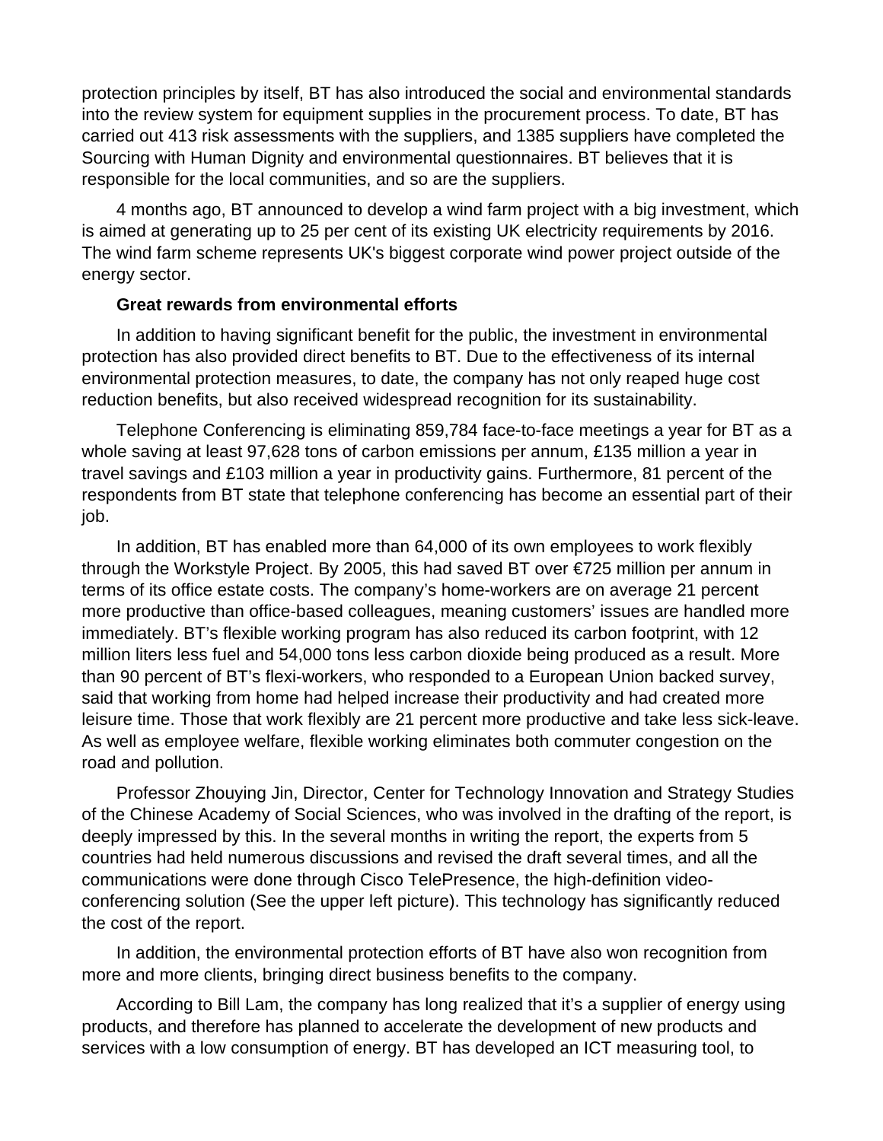protection principles by itself, BT has also introduced the social and environmental standards into the review system for equipment supplies in the procurement process. To date, BT has carried out 413 risk assessments with the suppliers, and 1385 suppliers have completed the Sourcing with Human Dignity and environmental questionnaires. BT believes that it is responsible for the local communities, and so are the suppliers.

4 months ago, BT announced to develop a wind farm project with a big investment, which is aimed at generating up to 25 per cent of its existing UK electricity requirements by 2016. The wind farm scheme represents UK's biggest corporate wind power project outside of the energy sector.

# **Great rewards from environmental efforts**

In addition to having significant benefit for the public, the investment in environmental protection has also provided direct benefits to BT. Due to the effectiveness of its internal environmental protection measures, to date, the company has not only reaped huge cost reduction benefits, but also received widespread recognition for its sustainability.

Telephone Conferencing is eliminating 859,784 face-to-face meetings a year for BT as a whole saving at least 97,628 tons of carbon emissions per annum, £135 million a year in travel savings and £103 million a year in productivity gains. Furthermore, 81 percent of the respondents from BT state that telephone conferencing has become an essential part of their job.

In addition, BT has enabled more than 64,000 of its own employees to work flexibly through the Workstyle Project. By 2005, this had saved BT over €725 million per annum in terms of its office estate costs. The company's home-workers are on average 21 percent more productive than office-based colleagues, meaning customers' issues are handled more immediately. BT's flexible working program has also reduced its carbon footprint, with 12 million liters less fuel and 54,000 tons less carbon dioxide being produced as a result. More than 90 percent of BT's flexi-workers, who responded to a European Union backed survey, said that working from home had helped increase their productivity and had created more leisure time. Those that work flexibly are 21 percent more productive and take less sick-leave. As well as employee welfare, flexible working eliminates both commuter congestion on the road and pollution.

Professor Zhouying Jin, Director, Center for Technology Innovation and Strategy Studies of the Chinese Academy of Social Sciences, who was involved in the drafting of the report, is deeply impressed by this. In the several months in writing the report, the experts from 5 countries had held numerous discussions and revised the draft several times, and all the communications were done through Cisco TelePresence, the high-definition videoconferencing solution (See the upper left picture). This technology has significantly reduced the cost of the report.

In addition, the environmental protection efforts of BT have also won recognition from more and more clients, bringing direct business benefits to the company.

According to Bill Lam, the company has long realized that it's a supplier of energy using products, and therefore has planned to accelerate the development of new products and services with a low consumption of energy. BT has developed an ICT measuring tool, to